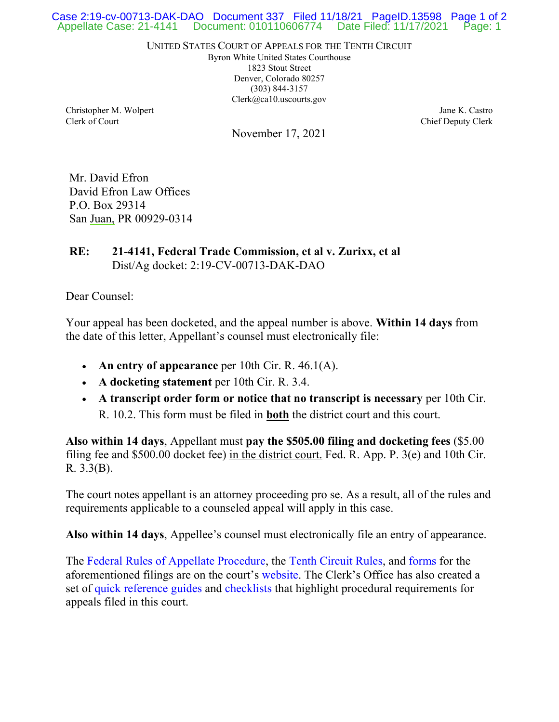## Appellate Case: 21-4141 Document: 010110606774 Date Filed: 11/17/2021 Page: 1 Case 2:19-cv-00713-DAK-DAO Document 337 Filed 11/18/21 PageID.13598 Page 1 of 2

UNITED STATES COURT OF APPEALS FOR THE TENTH CIRCUIT

Byron White United States Courthouse 1823 Stout Street Denver, Colorado 80257 (303) 844-3157 Clerk@ca10.uscourts.gov

Christopher M. Wolpert Clerk of Court

November 17, 2021

Jane K. Castro Chief Deputy Clerk

Mr. David Efron David Efron Law Offices P.O. Box 29314 San Juan, PR 00929-0314

## **RE: 21-4141, Federal Trade Commission, et al v. Zurixx, et al** Dist/Ag docket: 2:19-CV-00713-DAK-DAO

Dear Counsel:

Your appeal has been docketed, and the appeal number is above. **Within 14 days** from the date of this letter, Appellant's counsel must electronically file:

- **An entry of appearance** per 10th Cir. R. 46.1(A).
- **A docketing statement** per 10th Cir. R. 3.4.
- **A transcript order form or notice that no transcript is necessary** per 10th Cir. R. 10.2. This form must be filed in **both** the district court and this court.

**Also within 14 days**, Appellant must **pay the \$505.00 filing and docketing fees** (\$5.00 filing fee and \$500.00 docket fee) in the district court. Fed. R. App. P. 3(e) and 10th Cir. R. 3.3(B).

The court notes appellant is an attorney proceeding pro se. As a result, all of the rules and requirements applicable to a counseled appeal will apply in this case.

**Also within 14 days**, Appellee's counsel must electronically file an entry of appearance.

The [Federal Rules of Appellate Procedure,](https://www.ca10.uscourts.gov/clerk/rules) the [Tenth Circuit Rules,](https://www.ca10.uscourts.gov/clerk/rules) and [forms](https://www.ca10.uscourts.gov/forms/all) for the aforementioned filings are on the court's [website.](https://www.ca10.uscourts.gov/) The Clerk's Office has also created a set of [quick reference guides](https://www.ca10.uscourts.gov/clerk/quick-reference-guides) and [checklists](https://www.ca10.uscourts.gov/clerk/efiling-checklists) that highlight procedural requirements for appeals filed in this court.